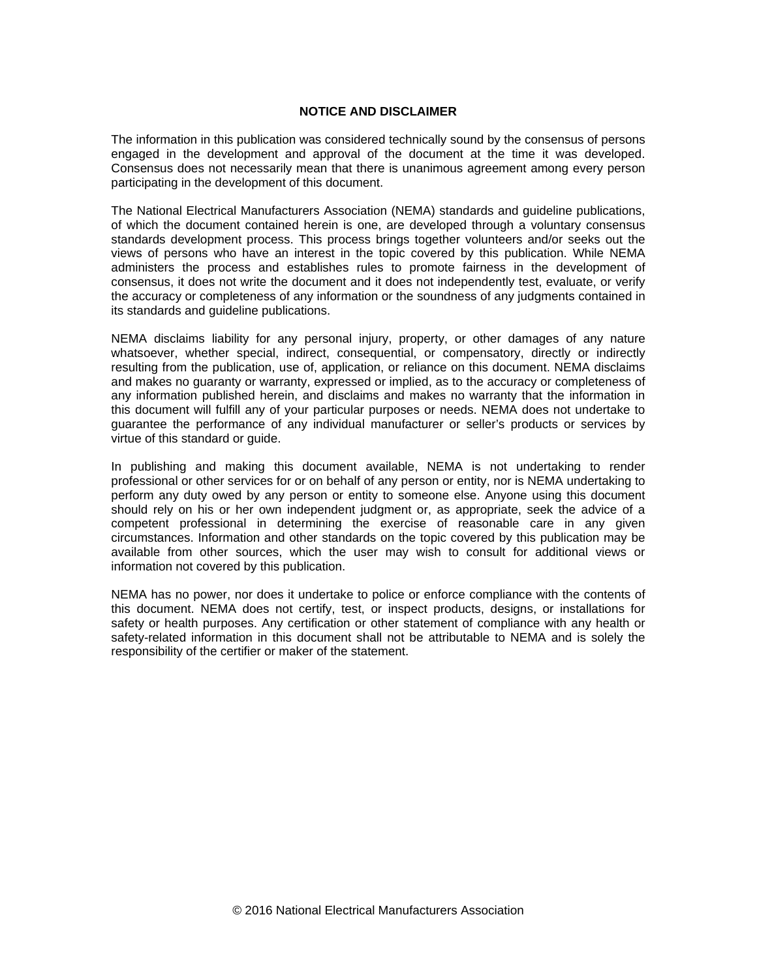### **NOTICE AND DISCLAIMER**

The information in this publication was considered technically sound by the consensus of persons engaged in the development and approval of the document at the time it was developed. Consensus does not necessarily mean that there is unanimous agreement among every person participating in the development of this document.

The National Electrical Manufacturers Association (NEMA) standards and guideline publications, of which the document contained herein is one, are developed through a voluntary consensus standards development process. This process brings together volunteers and/or seeks out the views of persons who have an interest in the topic covered by this publication. While NEMA administers the process and establishes rules to promote fairness in the development of consensus, it does not write the document and it does not independently test, evaluate, or verify the accuracy or completeness of any information or the soundness of any judgments contained in its standards and guideline publications.

NEMA disclaims liability for any personal injury, property, or other damages of any nature whatsoever, whether special, indirect, consequential, or compensatory, directly or indirectly resulting from the publication, use of, application, or reliance on this document. NEMA disclaims and makes no guaranty or warranty, expressed or implied, as to the accuracy or completeness of any information published herein, and disclaims and makes no warranty that the information in this document will fulfill any of your particular purposes or needs. NEMA does not undertake to guarantee the performance of any individual manufacturer or seller's products or services by virtue of this standard or guide.

In publishing and making this document available, NEMA is not undertaking to render professional or other services for or on behalf of any person or entity, nor is NEMA undertaking to perform any duty owed by any person or entity to someone else. Anyone using this document should rely on his or her own independent judgment or, as appropriate, seek the advice of a competent professional in determining the exercise of reasonable care in any given circumstances. Information and other standards on the topic covered by this publication may be available from other sources, which the user may wish to consult for additional views or information not covered by this publication.

NEMA has no power, nor does it undertake to police or enforce compliance with the contents of this document. NEMA does not certify, test, or inspect products, designs, or installations for safety or health purposes. Any certification or other statement of compliance with any health or safety-related information in this document shall not be attributable to NEMA and is solely the responsibility of the certifier or maker of the statement.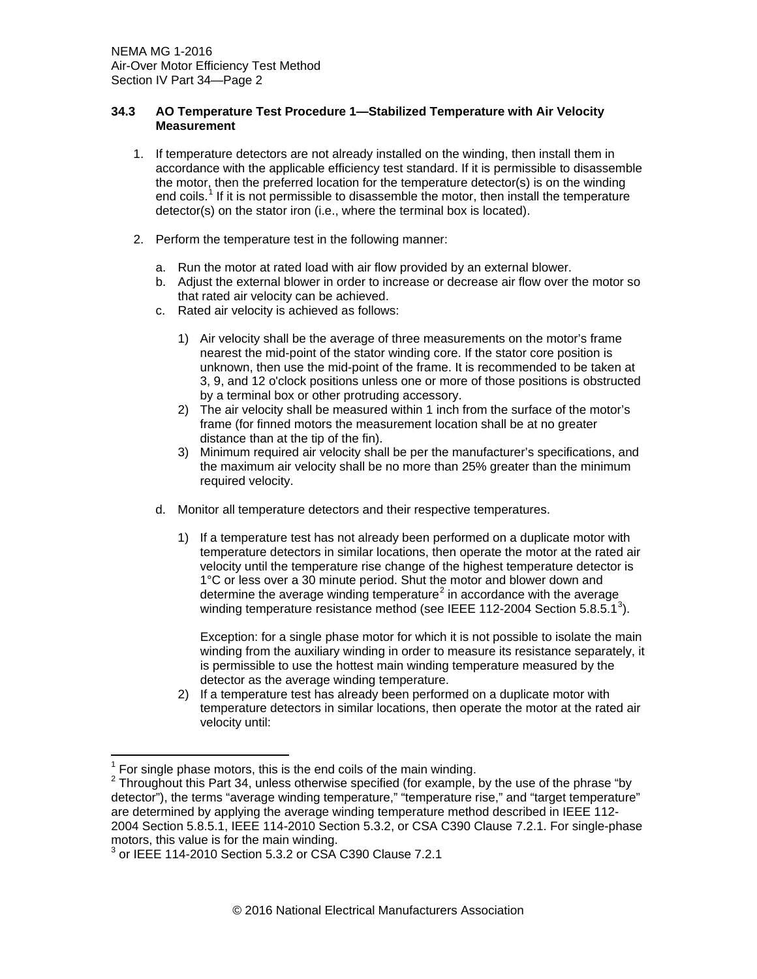## **34.3 AO Temperature Test Procedure 1—Stabilized Temperature with Air Velocity Measurement**

- 1. If temperature detectors are not already installed on the winding, then install them in accordance with the applicable efficiency test standard. If it is permissible to disassemble the motor, then the preferred location for the temperature detector(s) is on the winding end coils.<sup>[1](#page-3-0)</sup> If it is not permissible to disassemble the motor, then install the temperature detector(s) on the stator iron (i.e., where the terminal box is located).
- 2. Perform the temperature test in the following manner:
	- a. Run the motor at rated load with air flow provided by an external blower.
	- b. Adjust the external blower in order to increase or decrease air flow over the motor so that rated air velocity can be achieved.
	- c. Rated air velocity is achieved as follows:
		- 1) Air velocity shall be the average of three measurements on the motor's frame nearest the mid-point of the stator winding core. If the stator core position is unknown, then use the mid-point of the frame. It is recommended to be taken at 3, 9, and 12 o'clock positions unless one or more of those positions is obstructed by a terminal box or other protruding accessory.

2) The air velocity shall be measured within 1 inch from the surface of the motor's



National Electrical Manufacturers Associationotor with

temperature detectors in similar locations, then operate the motor at the rated air velocity until the temperature rise change of the highest temperature detector is 1°C or less over a 30 minute period. Shut the motor and blower down and determine the average winding temperature<sup>[2](#page-3-1)</sup> in accordance with the average winding temperature resistance method (see IEEE 112-2004 Section 5.8.5.1<sup>[3](#page-3-2)</sup>).

Exception: for a single phase motor for which it is not possible to isolate the main winding from the auxiliary winding in order to measure its resistance separately, it is permissible to use the hottest main winding temperature measured by the detector as the average winding temperature.

2) If a temperature test has already been performed on a duplicate motor with temperature detectors in similar locations, then operate the motor at the rated air velocity until:

 $\overline{\phantom{a}}$  $\frac{1}{2}$  For single phase motors, this is the end coils of the main winding.

<span id="page-3-0"></span><sup>&</sup>lt;sup>2</sup> Throughout this Part 34, unless otherwise specified (for example, by the use of the phrase "by detector"), the terms "average winding temperature," "temperature rise," and "target temperature" are determined by applying the average winding temperature method described in IEEE 112- 2004 Section 5.8.5.1, IEEE 114-2010 Section 5.3.2, or CSA C390 Clause 7.2.1. For single-phase motors, this value is for the main winding.

<span id="page-3-2"></span><span id="page-3-1"></span> $3$  or IEEE 114-2010 Section 5.3.2 or CSA C390 Clause 7.2.1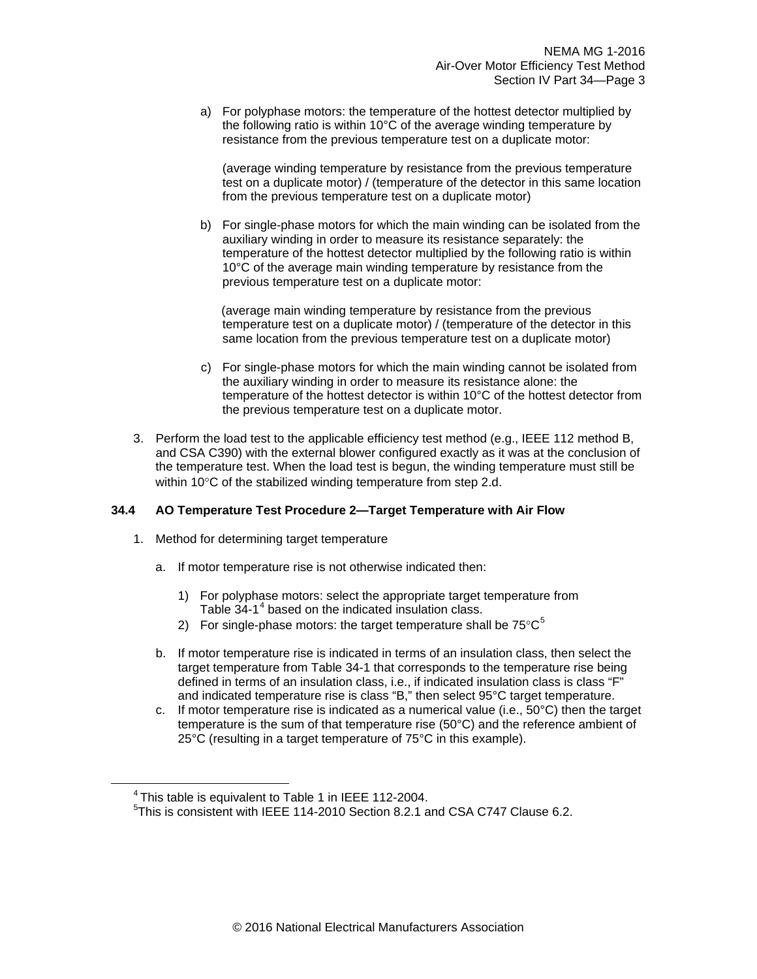a) For polyphase motors: the temperature of the hottest detector multiplied by the following ratio is within 10°C of the average winding temperature by resistance from the previous temperature test on a duplicate motor:

(average winding temperature by resistance from the previous temperature test on a duplicate motor) / (temperature of the detector in this same location from the previous temperature test on a duplicate motor)

b) For single-phase motors for which the main winding can be isolated from the auxiliary winding in order to measure its resistance separately: the temperature of the hottest detector multiplied by the following ratio is within 10°C of the average main winding temperature by resistance from the previous temperature test on a duplicate motor:

 (average main winding temperature by resistance from the previous temperature test on a duplicate motor) / (temperature of the detector in this same location from the previous temperature test on a duplicate motor)

- c) For single-phase motors for which the main winding cannot be isolated from the auxiliary winding in order to measure its resistance alone: the temperature of the hottest detector is within 10°C of the hottest detector from the previous temperature test on a duplicate motor.
- 3. Perform the load test to the applicable efficiency test method (e.g., IEEE 112 method B, and CSA C390) with the external blower configured exactly as it was at the conclusion of the temperature test. When the load test is begun, the winding temperature must still be within 10°C of the stabilized winding temperature from step 2.d.

## **34.4 AO Temperature Test Procedure 2—Target Temperature with Air Flow**

- 1. Method for determining target temperature lacturers Association
	- a. If motor temperature rise is not otherwise indicated then:
		- 1) For polyphase motors: select the appropriate target temperature from Table  $34-1^4$  $34-1^4$  $34-1^4$  based on the indicated insulation class.
		- 2) For single-phase motors: the target temperature shall be  $75^{\circ}C^5$  $75^{\circ}C^5$  $75^{\circ}C^5$
	- b. If motor temperature rise is indicated in terms of an insulation class, then select the target temperature from Table 34-1 that corresponds to the temperature rise being defined in terms of an insulation class, i.e., if indicated insulation class is class "F" and indicated temperature rise is class "B," then select 95°C target temperature.
	- c. If motor temperature rise is indicated as a numerical value (i.e., 50°C) then the target temperature is the sum of that temperature rise (50°C) and the reference ambient of 25°C (resulting in a target temperature of 75°C in this example).

<span id="page-4-0"></span>4 This table is equivalent to Table 1 in IEEE 112-2004.

<span id="page-4-1"></span><sup>5</sup> This is consistent with IEEE 114-2010 Section 8.2.1 and CSA C747 Clause 6.2.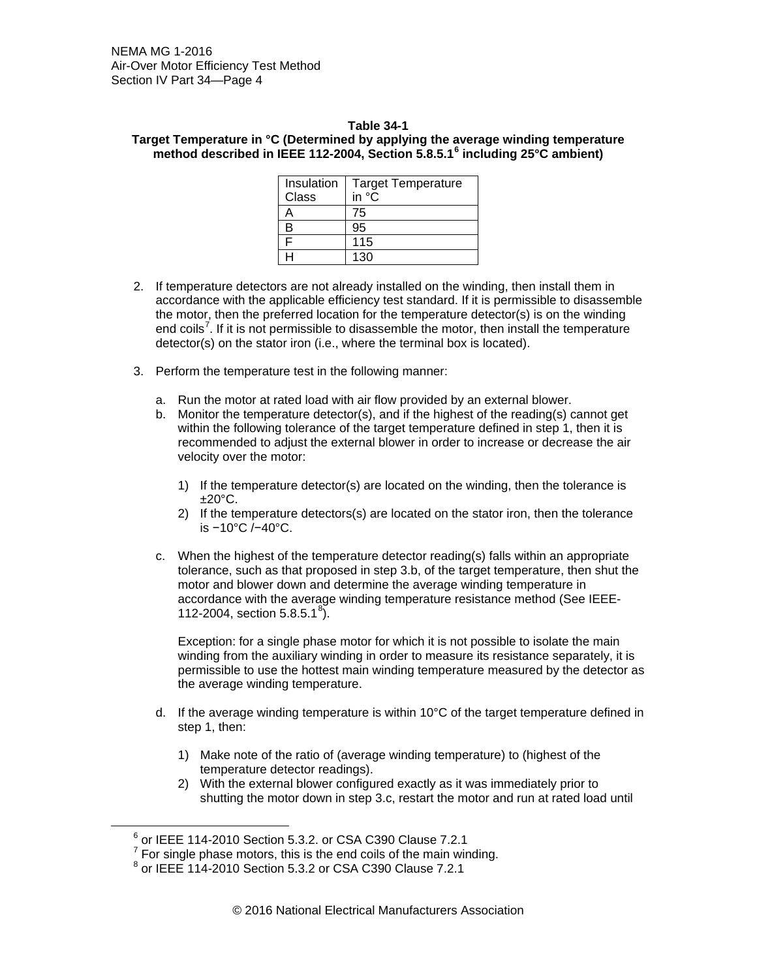### **Table 34-1**

## **Target Temperature in °C (Determined by applying the average winding temperature method described in IEEE 112-2004, Section 5.8.5.1[6](#page-5-0) including 25°C ambient)**

| Insulation | <b>Target Temperature</b> |
|------------|---------------------------|
| Class      | in ${}^{\circ}C$          |
|            | 75                        |
| R          | 95                        |
| ⊏          | 115                       |
|            | 130                       |

- 2. If temperature detectors are not already installed on the winding, then install them in accordance with the applicable efficiency test standard. If it is permissible to disassemble the motor, then the preferred location for the temperature detector(s) is on the winding end coils<sup>[7](#page-5-1)</sup>. If it is not permissible to disassemble the motor, then install the temperature detector(s) on the stator iron (i.e., where the terminal box is located).
- 3. Perform the temperature test in the following manner:
	- a. Run the motor at rated load with air flow provided by an external blower.
	- b. Monitor the temperature detector(s), and if the highest of the reading(s) cannot get within the following tolerance of the target temperature defined in step 1, then it is recommended to adjust the external blower in order to increase or decrease the air velocity over the motor:
		- 1) If the temperature detector(s) are located on the winding, then the tolerance is  $\pm 20^{\circ}$ C.
		- 2) If the temperature detectors(s) are located on the stator iron, then the tolerance is −10°C /−40°C. j
	- c. When the highest of the temperature detector reading(s) falls within an appropriate tolerance, such as that proposed in step 3.b, of the target temperature, then shut the motor and blower down and determine the average winding temperature in accordance with the average winding temperature resistance method (See IEEE-112-2004, section  $5.8.5.1^8$  $5.8.5.1^8$  $5.8.5.1^8$ .

Exception: for a single phase motor for which it is not possible to isolate the main winding from the auxiliary winding in order to measure its resistance separately, it is permissible to use the hottest main winding temperature measured by the detector as the average winding temperature.

- d. If the average winding temperature is within 10°C of the target temperature defined in step 1, then:
	- 1) Make note of the ratio of (average winding temperature) to (highest of the temperature detector readings).
	- 2) With the external blower configured exactly as it was immediately prior to shutting the motor down in step 3.c, restart the motor and run at rated load until

<span id="page-5-2"></span><span id="page-5-1"></span><span id="page-5-0"></span> $\overline{6}$  $\frac{6}{7}$  or IEEE 114-2010 Section 5.3.2. or CSA C390 Clause 7.2.1<br><sup>7</sup> For single phase motors, this is the end coils of the main winding.

 $8$  or IEEE 114-2010 Section 5.3.2 or CSA C390 Clause 7.2.1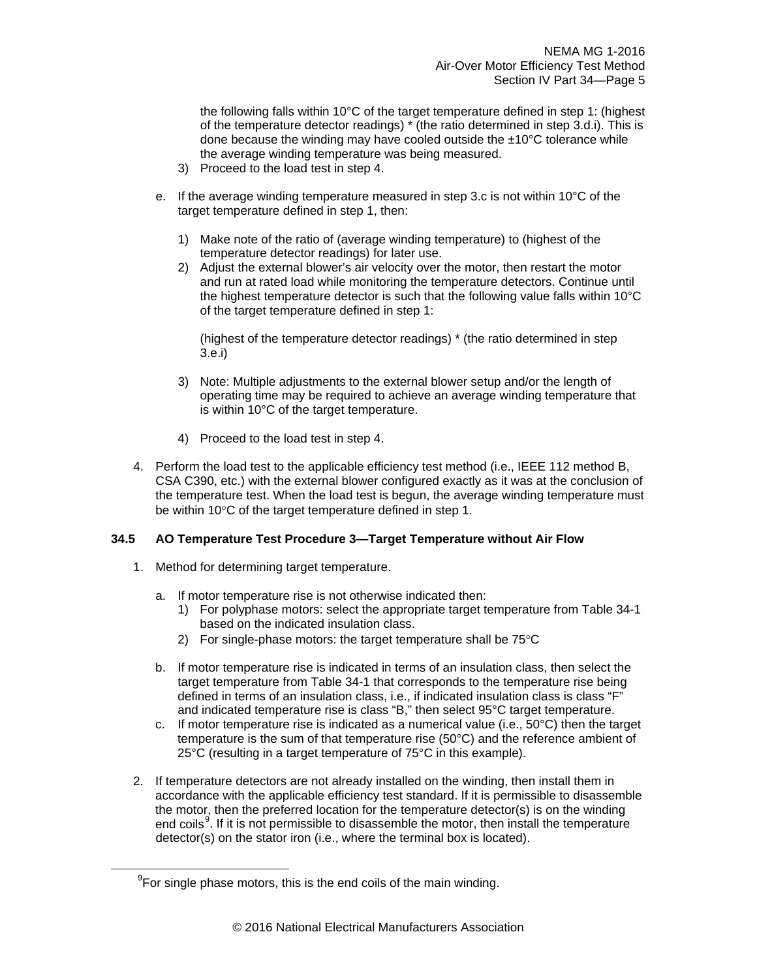the following falls within 10°C of the target temperature defined in step 1: (highest of the temperature detector readings) \* (the ratio determined in step 3.d.i). This is done because the winding may have cooled outside the ±10°C tolerance while the average winding temperature was being measured.

- 3) Proceed to the load test in step 4.
- e. If the average winding temperature measured in step 3.c is not within 10°C of the target temperature defined in step 1, then:
	- 1) Make note of the ratio of (average winding temperature) to (highest of the temperature detector readings) for later use.
	- 2) Adjust the external blower's air velocity over the motor, then restart the motor and run at rated load while monitoring the temperature detectors. Continue until the highest temperature detector is such that the following value falls within 10°C of the target temperature defined in step 1:

(highest of the temperature detector readings) \* (the ratio determined in step 3.e.i)

- 3) Note: Multiple adjustments to the external blower setup and/or the length of operating time may be required to achieve an average winding temperature that is within 10°C of the target temperature.
- 4) Proceed to the load test in step 4.
- 4. Perform the load test to the applicable efficiency test method (i.e., IEEE 112 method B, CSA C390, etc.) with the external blower configured exactly as it was at the conclusion of the temperature test. When the load test is begun, the average winding temperature must be within 10°C of the target temperature defined in step 1.

# **34.5 AO Temperature Test Procedure 3—Target Temperature without Air Flow**

- 1. Method for determining target temperature.
	- a. If motor temperature rise is not otherwise indicated then:
		- 1) For polyphase motors: select the appropriate target temperature from Table 34-1 based on the indicated insulation class.
		- 2) For single-phase motors: the target temperature shall be 75°C
	- b. If motor temperature rise is indicated in terms of an insulation class, then select the target temperature from Table 34-1 that corresponds to the temperature rise being defined in terms of an insulation class, i.e., if indicated insulation class is class "F" and indicated temperature rise is class "B," then select 95°C target temperature.
	- c. If motor temperature rise is indicated as a numerical value (i.e.,  $50^{\circ}$ C) then the target temperature is the sum of that temperature rise (50°C) and the reference ambient of 25°C (resulting in a target temperature of 75°C in this example).
- 2. If temperature detectors are not already installed on the winding, then install them in accordance with the applicable efficiency test standard. If it is permissible to disassemble the motor, then the preferred location for the temperature detector(s) is on the winding end coils<sup>[9](#page-6-0)</sup>. If it is not permissible to disassemble the motor, then install the temperature detector(s) on the stator iron (i.e., where the terminal box is located).

<span id="page-6-0"></span> $\overline{9}$ <sup>9</sup>For single phase motors, this is the end coils of the main winding.